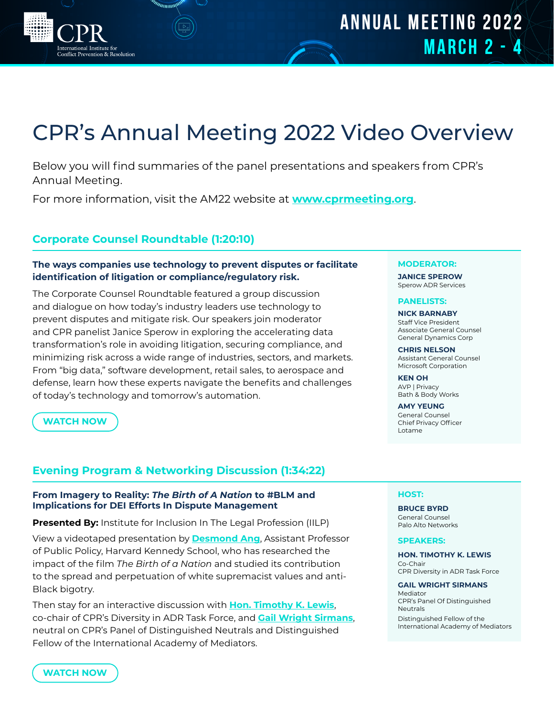# CPR's Annual Meeting 2022 Video Overview

Below you will find summaries of the panel presentations and speakers from CPR's Annual Meeting.

For more information, visit the AM22 website at **[www.cprmeeting.org](https://www.cprmeeting.org/agenda)**.

# **Corporate Counsel Roundtable (1:20:10)**

///////////

al Institute for Conflict Prevention & Resolution

# **The ways companies use technology to prevent disputes or facilitate identification of litigation or compliance/regulatory risk.**

The Corporate Counsel Roundtable featured a group discussion and dialogue on how today's industry leaders use technology to prevent disputes and mitigate risk. Our speakers join moderator and CPR panelist Janice Sperow in exploring the accelerating data transformation's role in avoiding litigation, securing compliance, and minimizing risk across a wide range of industries, sectors, and markets. From "big data," software development, retail sales, to aerospace and defense, learn how these experts navigate the benefits and challenges of today's technology and tomorrow's automation.

**[WATCH NOW](https://youtu.be/-BqyX4dFK0U)**

# **Evening Program & Networking Discussion (1:34:22)**

# **From Imagery to Reality:** *The Birth of A Nation* **to #BLM and Implications for DEI Efforts In Dispute Management**

**Presented By:** Institute for Inclusion In The Legal Profession (IILP)

View a videotaped presentation by **[Desmond Ang](https://www.hks.harvard.edu/faculty/desmond-ang)**, Assistant Professor of Public Policy, Harvard Kennedy School, who has researched the impact of the film *The Birth of a Nation* and studied its contribution to the spread and perpetuation of white supremacist values and anti-Black bigotry.

Then stay for an interactive discussion with **[Hon. Timothy K. Lewis](https://www.schnader.com/attorneys/hon-timothy-k-lewis/)**, co-chair of CPR's Diversity in ADR Task Force, and **[Gail Wright Sirmans](https://iamed.org/member-directory/#!biz/id/5c0ee5ecafd6914552657d79)**, neutral on CPR's Panel of Distinguished Neutrals and Distinguished Fellow of the International Academy of Mediators.

## **MODERATOR:**

**[JANICE SPEROW](http://sperowadr.com/)** Sperow ADR Services

## **PANELISTS:**

**[NICK BARNABY](https://www.linkedin.com/in/nickbarnaby/)** Staff Vice President Associate General Counsel General Dynamics Corp

**[CHRIS NELSON](https://www.linkedin.com/in/cfnelson/)** Assistant General Counsel Microsoft Corporation

**[KEN OH](https://www.linkedin.com/in/kenneth-oh-a31657)** AVP | Privacy Bath & Body Works

**[AMY YEUNG](https://www.linkedin.com/in/amy-yeung-0518883/)** General Counsel Chief Privacy Officer Lotame

## **HOST:**

**[BRUCE BYRD](https://www.paloaltonetworks.com/about-us/management)** General Counsel Palo Alto Networks

### **SPEAKERS:**

**[HON. TIMOTHY K. LEWIS](https://www.schnader.com/attorneys/hon-timothy-k-lewis/)** Co-Chair CPR Diversity in ADR Task Force

**[GAIL WRIGHT SIRMANS](https://iamed.org/member-directory/#!biz/id/5c0ee5ecafd6914552657d79)** Mediator CPR's Panel Of Distinguished Neutrals

Distinguished Fellow of the International Academy of Mediators

**[WATCH NOW](https://youtu.be/oVaZfMAEAn4)**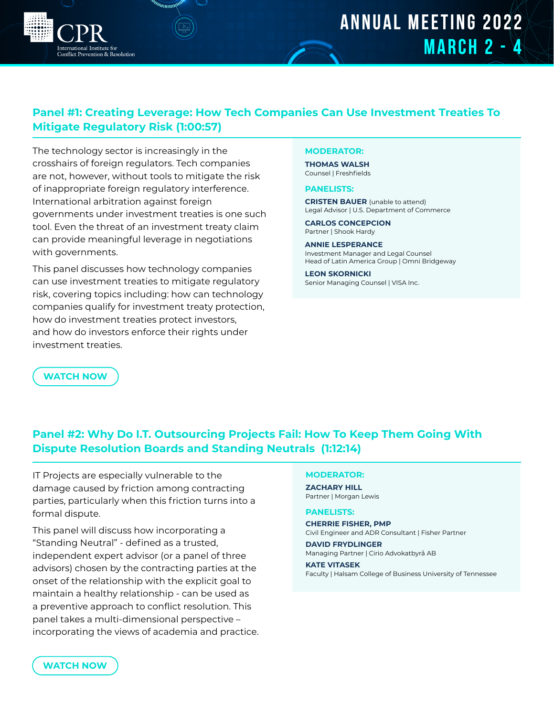# **ANNUAL MEETING 2022 MARCH 2 - 4**

# **Panel #1: Creating Leverage: How Tech Companies Can Use Investment Treaties To Mitigate Regulatory Risk (1:00:57)**

The technology sector is increasingly in the crosshairs of foreign regulators. Tech companies are not, however, without tools to mitigate the risk of inappropriate foreign regulatory interference. International arbitration against foreign governments under investment treaties is one such tool. Even the threat of an investment treaty claim can provide meaningful leverage in negotiations with governments.

al Institute for enflict Prevention & Resolution

This panel discusses how technology companies can use investment treaties to mitigate regulatory risk, covering topics including: how can technology companies qualify for investment treaty protection, how do investment treaties protect investors, and how do investors enforce their rights under investment treaties.

# **MODERATOR:**

**[THOMAS WALSH](https://www.freshfields.us/contacts/find-a-lawyer/w/walsh-thomas/)** Counsel | Freshfields

### **PANELISTS:**

**[CRISTEN BAUER](https://www.linkedin.com/in/cristenbauer/)** (unable to attend) Legal Advisor | U.S. Department of Commerce

**[CARLOS CONCEPCION](https://www.shb.com/professionals/c/concepcion-carlos)** Partner | Shook Hardy

**[ANNIE LESPERANCE](https://omnibridgeway.com/about/team/profile/annie-lesp%C3%A9rance)** Investment Manager and Legal Counsel Head of Latin America Group | Omni Bridgeway

**[LEON SKORNICKI](https://www.linkedin.com/in/leonskornicki/)** Senior Managing Counsel | VISA Inc.

**[WATCH NOW](https://youtu.be/ksUE6-5FvMk)**

# **Panel #2: Why Do I.T. Outsourcing Projects Fail: How To Keep Them Going With Dispute Resolution Boards and Standing Neutrals (1:12:14)**

IT Projects are especially vulnerable to the damage caused by friction among contracting parties, particularly when this friction turns into a formal dispute.

This panel will discuss how incorporating a "Standing Neutral" - defined as a trusted, independent expert advisor (or a panel of three advisors) chosen by the contracting parties at the onset of the relationship with the explicit goal to maintain a healthy relationship - can be used as a preventive approach to conflict resolution. This panel takes a multi-dimensional perspective – incorporating the views of academia and practice.

## **MODERATOR:**

**[ZACHARY HILL](https://www.morganlewis.com/bios/zacharyhill)** Partner | Morgan Lewis

### **PANELISTS:**

**[CHERRIE FISHER, PMP](https://www.linkedin.com/in/cherriefisher/)**

Civil Engineer and ADR Consultant | Fisher Partner **[DAVID FRYDLINGER](https://cirio.se/people/david-frydlinger)**

Managing Partner | Cirio Advokatbyrå AB

### **[KATE VITASEK](https://haslam.utk.edu/experts/kate-vitasek)**

Faculty | Halsam College of Business University of Tennessee

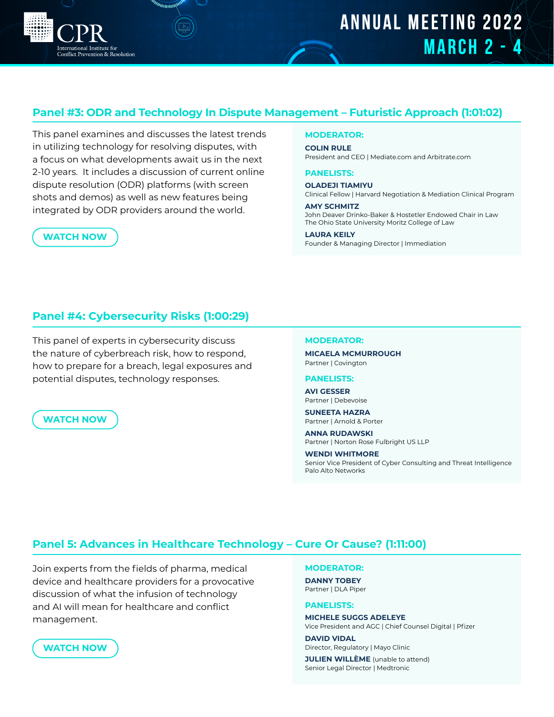# **ANNUAL MEETING 2022 MARCH 2 - 4**

# **Panel #3: ODR and Technology In Dispute Management – Futuristic Approach (1:01:02)**

This panel examines and discusses the latest trends in utilizing technology for resolving disputes, with a focus on what developments await us in the next 2-10 years. It includes a discussion of current online dispute resolution (ODR) platforms (with screen shots and demos) as well as new features being integrated by ODR providers around the world.

# **MODERATOR:**

**[COLIN RULE](http://colinrule.com/)** President and CEO | Mediate.com and Arbitrate.com

## **PANELISTS:**

**[OLADEJI TIAMIYU](https://hnmcp.law.harvard.edu/hnmcp/faculty_staff/oladeji-tiamiyu/)**

Clinical Fellow | Harvard Negotiation & Mediation Clinical Program

**[AMY SCHMITZ](https://www.linkedin.com/in/amy-schmitz-116323160/)** John Deaver Drinko-Baker & Hostetler Endowed Chair in Law The Ohio State University Moritz College of Law

#### **[LAURA KEILY](https://www.immediation.com/us/about-us)**

Founder & Managing Director | Immediation

# **Panel #4: Cybersecurity Risks (1:00:29)**

This panel of experts in cybersecurity discuss the nature of cyberbreach risk, how to respond, how to prepare for a breach, legal exposures and potential disputes, technology responses.

# **[WATCH NOW](https://youtu.be/QtwqfPCrnwc)**

**[WATCH NOW](https://youtu.be/AXg5t-djWJM)**

**Conflict Prevention & Resolution** 

## **MODERATOR:**

**[MICAELA MCMURROUGH](https://www.cov.com/en/professionals/m/micaela-mcmurrough)** Partner | Covington

#### **PANELISTS:**

**[AVI GESSER](https://www.debevoise.com/AviGesser)** Partner | Debevoise

**[SUNEETA HAZRA](https://www.arnoldporter.com/en/people/h/hazra-suneeta)** Partner | Arnold & Porter

**[ANNA RUDAWSKI](https://www.linkedin.com/in/anna-rudawski-1985921a/)** Partner | Norton Rose Fulbright US LLP

**[WENDI WHITMORE](https://www.linkedin.com/in/wendiwhitmore2/)** Senior Vice President of Cyber Consulting and Threat Intelligence Palo Alto Networks

# **Panel 5: Advances in Healthcare Technology – Cure Or Cause? (1:11:00)**

Join experts from the fields of pharma, medical device and healthcare providers for a provocative discussion of what the infusion of technology and AI will mean for healthcare and conflict management.

# **MODERATOR:**

**[DANNY TOBEY](https://www.dlapiper.com/en/us/people/t/tobey-daniel/)** Partner | DLA Piper

### **PANELISTS:**

**[MICHELE SUGGS ADELEYE](https://www.linkedin.com/in/michele-suggs-adeleye-b40a409/)** Vice President and AGC | Chief Counsel Digital | Pfizer

**[DAVID VIDAL](https://www.linkedin.com/in/david-vidal-735380b/)** Director, Regulatory | Mayo Clinic

**[JULIEN WILLÈME](https://www.linkedin.com/in/julien-will%C3%A8me-38146727/)** (unable to attend) Senior Legal Director | Medtronic

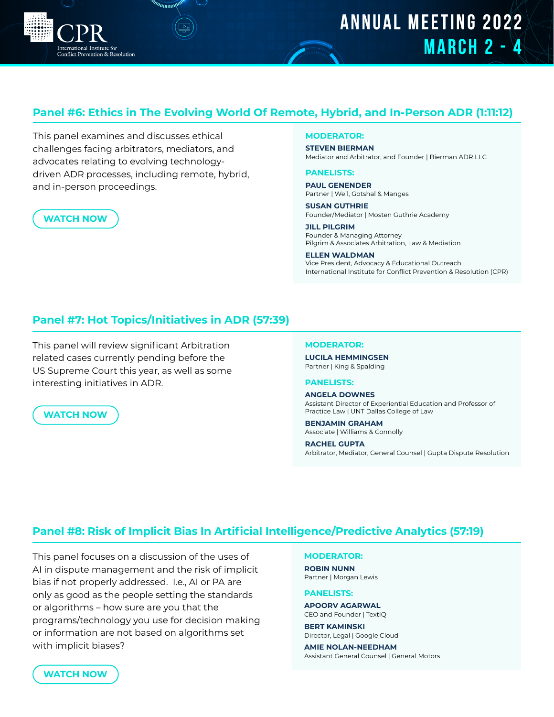

# **Panel #6: Ethics in The Evolving World Of Remote, Hybrid, and In-Person ADR (1:11:12)**

This panel examines and discusses ethical challenges facing arbitrators, mediators, and advocates relating to evolving technologydriven ADR processes, including remote, hybrid, and in-person proceedings.

vention & Resolution

# **[WATCH NOW](https://youtu.be/iHDVR5oL8Wc)**

## **MODERATOR:**

**STEVEN BIERMAN** Mediator and Arbitrator, and Founder | Bierman ADR LLC

#### **PANELISTS:**

**PAUL GENENDER** Partner | Weil, Gotshal & Manges

**SUSAN GUTHRIE** Founder/Mediator | Mosten Guthrie Academy

**JILL PILGRIM** Founder & Managing Attorney Pilgrim & Associates Arbitration, Law & Mediation

**ELLEN WALDMAN** Vice President, Advocacy & Educational Outreach International Institute for Conflict Prevention & Resolution (CPR)

# **Panel #7: Hot Topics/Initiatives in ADR (57:39)**

This panel will review significant Arbitration related cases currently pending before the US Supreme Court this year, as well as some interesting initiatives in ADR.

## **[WATCH NOW](https://youtu.be/fvYHy-fAxX0)**

#### **MODERATOR:**

**[LUCILA HEMMINGSEN](https://www.kslaw.com/people/lucila-hemmingsen)** Partner | King & Spalding

## **PANELISTS:**

**[ANGELA DOWNES](https://www.untdallas.edu/employee-directory/)** Assistant Director of Experiential Education and Professor of Practice Law | UNT Dallas College of Law

# **[BENJAMIN GRAHAM](https://www.wc.com/Attorneys/Benjamin-W-Graham)**

Associate | Williams & Connolly

**[RACHEL GUPTA](https://www.cpradr.org/programs/y-adr/committee-members/Rachel-Gupta/_res/id=Attachment/)** Arbitrator, Mediator, General Counsel | Gupta Dispute Resolution

# **Panel #8: Risk of Implicit Bias In Artificial Intelligence/Predictive Analytics (57:19)**

This panel focuses on a discussion of the uses of AI in dispute management and the risk of implicit bias if not properly addressed. I.e., AI or PA are only as good as the people setting the standards or algorithms – how sure are you that the programs/technology you use for decision making or information are not based on algorithms set with implicit biases?

#### **MODERATOR:**

**[ROBIN NUNN](https://www.morganlewis.com/bios/robinnunn)** Partner | Morgan Lewis

## **PANELISTS:**

**[APOORV AGARWAL](https://www.linkedin.com/in/apoorv-agarwal-ph-d-7b539629/)** CEO and Founder | TextIQ

**[BERT KAMINSKI](https://www.linkedin.com/in/bertkaminski/)** Director, Legal | Google Cloud

**[AMIE NOLAN-NEEDHAM](https://www.linkedin.com/in/amie-nolan-needham-8046905)** Assistant General Counsel | General Motors